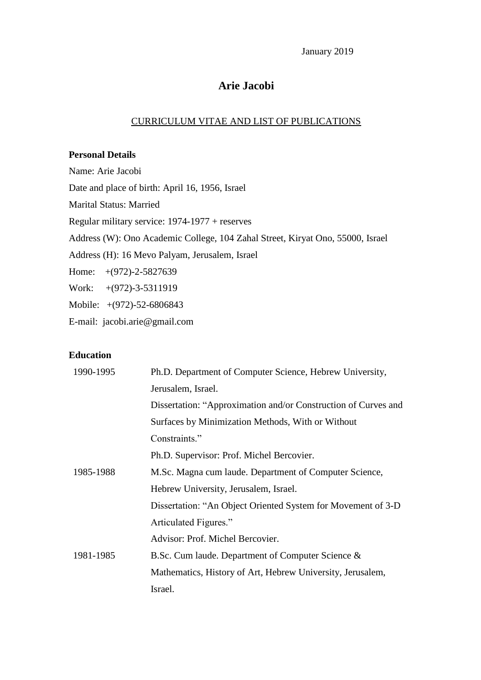January 2019

### **Arie Jacobi**

#### CURRICULUM VITAE AND LIST OF PUBLICATIONS

#### **Personal Details**

Name: Arie Jacobi Date and place of birth: April 16, 1956, Israel Marital Status: Married Regular military service: 1974-1977 + reserves Address (W): Ono Academic College, 104 Zahal Street, Kiryat Ono, 55000, Israel Address (H): 16 Mevo Palyam, Jerusalem, Israel Home: +(972)-2-5827639 Work: +(972)-3-5311919 Mobile: +(972)-52-6806843 E-mail: jacobi.arie@gmail.com

### **Education**

| 1990-1995 | Ph.D. Department of Computer Science, Hebrew University,       |
|-----------|----------------------------------------------------------------|
|           | Jerusalem, Israel.                                             |
|           | Dissertation: "Approximation and/or Construction of Curves and |
|           | Surfaces by Minimization Methods, With or Without              |
|           | Constraints."                                                  |
|           | Ph.D. Supervisor: Prof. Michel Bercovier.                      |
| 1985-1988 | M.Sc. Magna cum laude. Department of Computer Science,         |
|           | Hebrew University, Jerusalem, Israel.                          |
|           | Dissertation: "An Object Oriented System for Movement of 3-D   |
|           | Articulated Figures."                                          |
|           | Advisor: Prof. Michel Bercovier.                               |
| 1981-1985 | B.Sc. Cum laude. Department of Computer Science &              |
|           | Mathematics, History of Art, Hebrew University, Jerusalem,     |
|           | Israel.                                                        |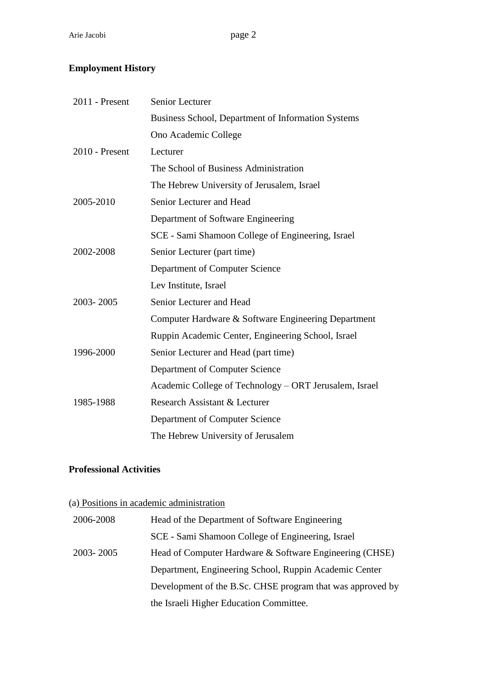## **Employment History**

| 2011 - Present   | <b>Senior Lecturer</b>                                 |
|------------------|--------------------------------------------------------|
|                  | Business School, Department of Information Systems     |
|                  | Ono Academic College                                   |
| $2010$ - Present | Lecturer                                               |
|                  | The School of Business Administration                  |
|                  | The Hebrew University of Jerusalem, Israel             |
| 2005-2010        | Senior Lecturer and Head                               |
|                  | Department of Software Engineering                     |
|                  | SCE - Sami Shamoon College of Engineering, Israel      |
| 2002-2008        | Senior Lecturer (part time)                            |
|                  | Department of Computer Science                         |
|                  | Lev Institute, Israel                                  |
| 2003-2005        | Senior Lecturer and Head                               |
|                  | Computer Hardware & Software Engineering Department    |
|                  | Ruppin Academic Center, Engineering School, Israel     |
| 1996-2000        | Senior Lecturer and Head (part time)                   |
|                  | Department of Computer Science                         |
|                  | Academic College of Technology – ORT Jerusalem, Israel |
| 1985-1988        | Research Assistant & Lecturer                          |
|                  | Department of Computer Science                         |
|                  | The Hebrew University of Jerusalem                     |

### **Professional Activities**

|           | (a) Positions in academic administration                   |
|-----------|------------------------------------------------------------|
| 2006-2008 | Head of the Department of Software Engineering             |
|           | SCE - Sami Shamoon College of Engineering, Israel          |
| 2003-2005 | Head of Computer Hardware & Software Engineering (CHSE)    |
|           | Department, Engineering School, Ruppin Academic Center     |
|           | Development of the B.Sc. CHSE program that was approved by |
|           | the Israeli Higher Education Committee.                    |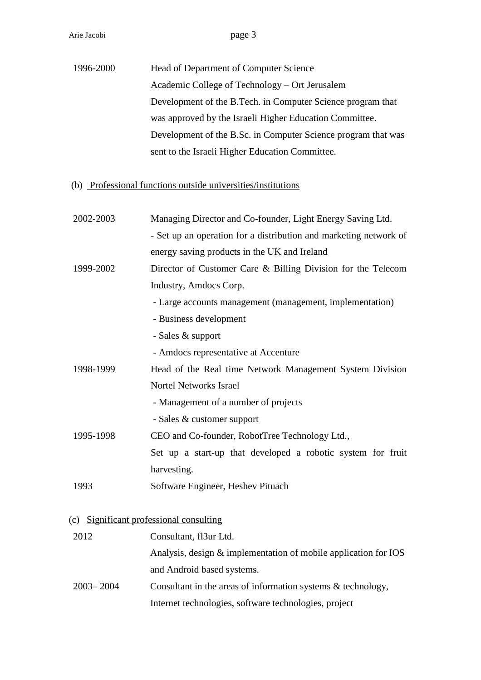| 1996-2000 | Head of Department of Computer Science                        |
|-----------|---------------------------------------------------------------|
|           | Academic College of Technology – Ort Jerusalem                |
|           | Development of the B. Tech. in Computer Science program that  |
|           | was approved by the Israeli Higher Education Committee.       |
|           | Development of the B.Sc. in Computer Science program that was |
|           | sent to the Israeli Higher Education Committee.               |

# (b) Professional functions outside universities/institutions

| 2002-2003     | Managing Director and Co-founder, Light Energy Saving Ltd.        |
|---------------|-------------------------------------------------------------------|
|               | - Set up an operation for a distribution and marketing network of |
|               | energy saving products in the UK and Ireland                      |
| 1999-2002     | Director of Customer Care & Billing Division for the Telecom      |
|               | Industry, Amdocs Corp.                                            |
|               | - Large accounts management (management, implementation)          |
|               | - Business development                                            |
|               | - Sales & support                                                 |
|               | - Amdocs representative at Accenture                              |
| 1998-1999     | Head of the Real time Network Management System Division          |
|               | <b>Nortel Networks Israel</b>                                     |
|               | - Management of a number of projects                              |
|               | - Sales & customer support                                        |
| 1995-1998     | CEO and Co-founder, RobotTree Technology Ltd.,                    |
|               | Set up a start-up that developed a robotic system for fruit       |
|               | harvesting.                                                       |
| 1993          | Software Engineer, Heshev Pituach                                 |
|               |                                                                   |
|               | (c) Significant professional consulting                           |
| 2012          | Consultant, fl3ur Ltd.                                            |
|               | Analysis, design & implementation of mobile application for IOS   |
|               | and Android based systems.                                        |
| $2003 - 2004$ | Consultant in the areas of information systems & technology,      |

Internet technologies, software technologies, project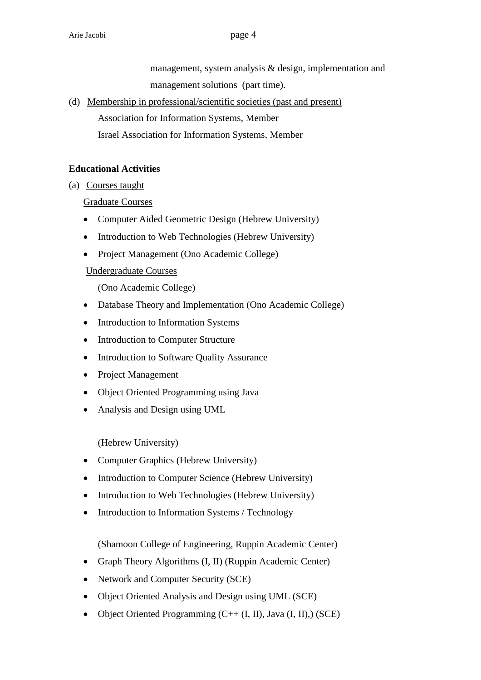management, system analysis & design, implementation and management solutions (part time).

(d) Membership in professional/scientific societies (past and present) Association for Information Systems, Member

### Israel Association for Information Systems, Member

### **Educational Activities**

(a) Courses taught

Graduate Courses

- Computer Aided Geometric Design (Hebrew University)
- Introduction to Web Technologies (Hebrew University)
- Project Management (Ono Academic College)

Undergraduate Courses

(Ono Academic College)

- Database Theory and Implementation (Ono Academic College)
- Introduction to Information Systems
- Introduction to Computer Structure
- Introduction to Software Quality Assurance
- Project Management
- Object Oriented Programming using Java
- Analysis and Design using UML

(Hebrew University)

- Computer Graphics (Hebrew University)
- Introduction to Computer Science (Hebrew University)
- Introduction to Web Technologies (Hebrew University)
- Introduction to Information Systems / Technology

(Shamoon College of Engineering, Ruppin Academic Center)

- Graph Theory Algorithms (I, II) (Ruppin Academic Center)
- Network and Computer Security (SCE)
- Object Oriented Analysis and Design using UML (SCE)
- Object Oriented Programming  $(C++ (I, II), Java (I, II),)$  (SCE)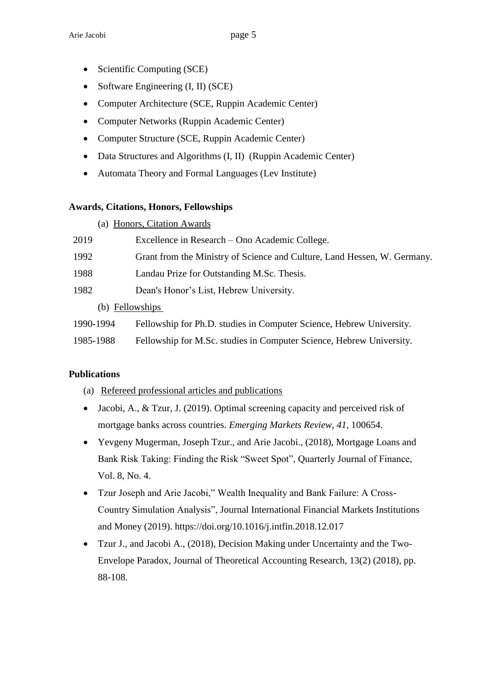- Scientific Computing (SCE)
- Software Engineering  $(I, II)$  (SCE)
- Computer Architecture (SCE, Ruppin Academic Center)
- Computer Networks (Ruppin Academic Center)
- Computer Structure (SCE, Ruppin Academic Center)
- Data Structures and Algorithms (I, II) (Ruppin Academic Center)
- Automata Theory and Formal Languages (Lev Institute)

#### **Awards, Citations, Honors, Fellowships**

(a) Honors, Citation Awards

| 2019            | Excellence in Research – Ono Academic College.                           |
|-----------------|--------------------------------------------------------------------------|
| 1992            | Grant from the Ministry of Science and Culture, Land Hessen, W. Germany. |
| 1988            | Landau Prize for Outstanding M.Sc. Thesis.                               |
| 1982            | Dean's Honor's List, Hebrew University.                                  |
| (b) Fellowships |                                                                          |
| 1990-1994       | Fellowship for Ph.D. studies in Computer Science, Hebrew University.     |
| 1985-1988       | Fellowship for M.Sc. studies in Computer Science, Hebrew University.     |

#### **Publications**

- (a) Refereed professional articles and publications
- Jacobi, A., & Tzur, J. (2019). Optimal screening capacity and perceived risk of mortgage banks across countries. *Emerging Markets Review*, *41*, 100654.
- Yevgeny Mugerman, Joseph Tzur., and Arie Jacobi., (2018), Mortgage Loans and Bank Risk Taking: Finding the Risk "Sweet Spot", Quarterly Journal of Finance, Vol. 8, No. 4.
- Tzur Joseph and Arie Jacobi," Wealth Inequality and Bank Failure: A Cross-Country Simulation Analysis", Journal International Financial Markets Institutions and Money (2019).<https://doi.org/10.1016/j.intfin.2018.12.017>
- Tzur J., and Jacobi A., (2018), Decision Making under Uncertainty and the Two-Envelope Paradox, Journal of Theoretical Accounting Research, 13(2) (2018), pp. 88-108.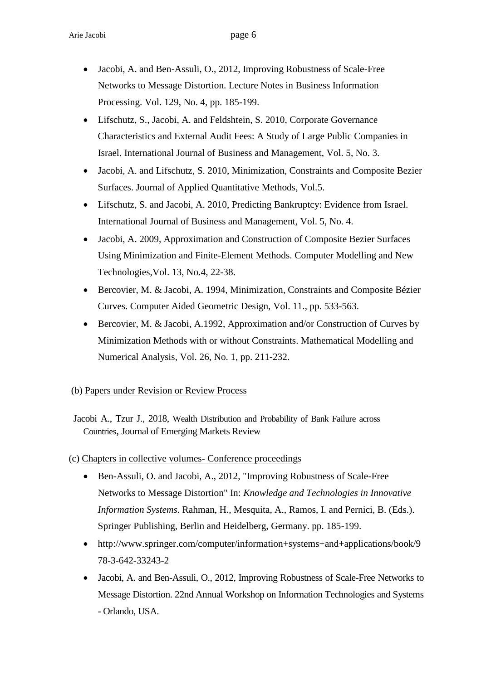- Jacobi, A. and Ben-Assuli, O., 2012, Improving Robustness of Scale-Free Networks to Message Distortion. Lecture Notes in Business Information Processing. Vol. 129, No. 4, pp. 185-199.
- Lifschutz, S., Jacobi, A. and Feldshtein, S. 2010, Corporate Governance Characteristics and External Audit Fees: A Study of Large Public Companies in Israel. International Journal of Business and Management, Vol. 5, No. 3.
- Jacobi, A. and Lifschutz, S. 2010, Minimization, Constraints and Composite Bezier Surfaces. Journal of Applied Quantitative Methods, Vol.5.
- Lifschutz, S. and Jacobi, A. 2010, Predicting Bankruptcy: Evidence from Israel. International Journal of Business and Management, Vol. 5, No. 4.
- Jacobi, A. 2009, Approximation and Construction of Composite Bezier Surfaces Using Minimization and Finite-Element Methods. Computer Modelling and New Technologies,Vol. 13, No.4, 22-38.
- Bercovier, M. & Jacobi, A. 1994, Minimization, Constraints and Composite Bézier Curves. Computer Aided Geometric Design, Vol. 11., pp. 533-563.
- Bercovier, M. & Jacobi, A.1992, Approximation and/or Construction of Curves by Minimization Methods with or without Constraints. Mathematical Modelling and Numerical Analysis, Vol. 26, No. 1, pp. 211-232.

#### (b) Papers under Revision or Review Process

Jacobi A., Tzur J., 2018, Wealth Distribution and Probability of Bank Failure across Countries, Journal of Emerging Markets Review

- (c) Chapters in collective volumes- Conference proceedings
	- Ben-Assuli, O. and Jacobi, A., 2012, "Improving Robustness of Scale-Free Networks to Message Distortion" In: *Knowledge and Technologies in Innovative Information Systems*. Rahman, H., Mesquita, A., Ramos, I. and Pernici, B. (Eds.). Springer Publishing, Berlin and Heidelberg, Germany. pp. 185-199.
	- [http://www.springer.com/computer/information+systems+and+applications/book/9](http://www.springer.com/computer/information+systems+and+applications/book/978-3-642-33243-2) [78-3-642-33243-2](http://www.springer.com/computer/information+systems+and+applications/book/978-3-642-33243-2)
	- Jacobi, A. and Ben-Assuli, O., 2012, Improving Robustness of Scale-Free Networks to Message Distortion. 22nd Annual Workshop on Information Technologies and Systems - Orlando, USA.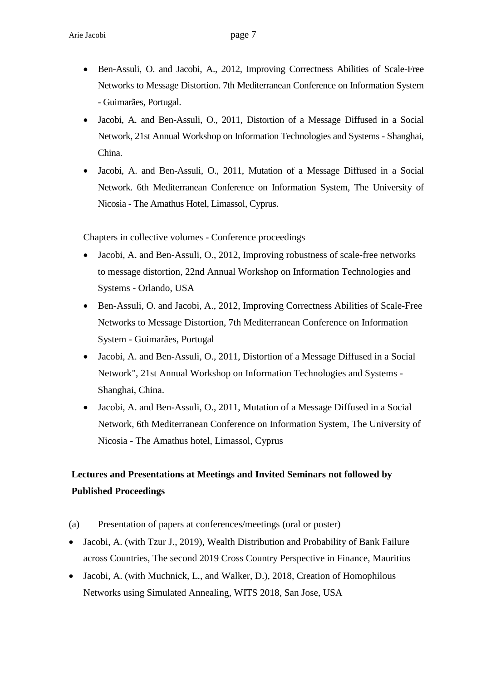- Ben-Assuli, O. and Jacobi, A., 2012, Improving Correctness Abilities of Scale-Free Networks to Message Distortion. 7th Mediterranean Conference on Information System - Guimarães, Portugal.
- Jacobi, A. and Ben-Assuli, O., 2011, Distortion of a Message Diffused in a Social Network, 21st Annual Workshop on Information Technologies and Systems - Shanghai, China.
- Jacobi, A. and Ben-Assuli, O., 2011, Mutation of a Message Diffused in a Social Network. 6th Mediterranean Conference on Information System, The University of Nicosia - The Amathus Hotel, Limassol, Cyprus.

Chapters in collective volumes - Conference proceedings

- Jacobi, A. and Ben-Assuli, O., 2012, Improving robustness of scale-free networks to message distortion, 22nd Annual Workshop on Information Technologies and Systems - Orlando, USA
- Ben-Assuli, O. and Jacobi, A., 2012, Improving Correctness Abilities of Scale-Free Networks to Message Distortion, 7th Mediterranean Conference on Information System - Guimarães, Portugal
- Jacobi, A. and Ben-Assuli, O., 2011, Distortion of a Message Diffused in a Social Network", 21st Annual Workshop on Information Technologies and Systems - Shanghai, China.
- Jacobi, A. and Ben-Assuli, O., 2011, Mutation of a Message Diffused in a Social Network, 6th Mediterranean Conference on Information System, The University of Nicosia - The Amathus hotel, Limassol, Cyprus

## **Lectures and Presentations at Meetings and Invited Seminars not followed by Published Proceedings**

- (a) Presentation of papers at conferences/meetings (oral or poster)
- Jacobi, A. (with Tzur J., 2019), Wealth Distribution and Probability of Bank Failure across Countries, The second 2019 Cross Country Perspective in Finance, Mauritius
- Jacobi, A. (with Muchnick, L., and Walker, D.), 2018, Creation of Homophilous Networks using Simulated Annealing, WITS 2018, San Jose, USA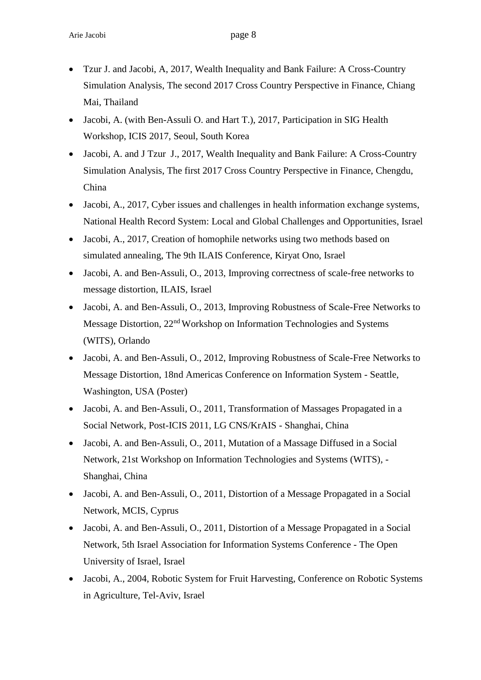- Tzur J. and Jacobi, A, 2017, Wealth Inequality and Bank Failure: A Cross-Country Simulation Analysis, The second 2017 Cross Country Perspective in Finance, Chiang Mai, Thailand
- Jacobi, A. (with Ben-Assuli O. and Hart T.), 2017, Participation in SIG Health Workshop, ICIS 2017, Seoul, South Korea
- Jacobi, A. and J Tzur J., 2017, Wealth Inequality and Bank Failure: A Cross-Country Simulation Analysis, The first 2017 Cross Country Perspective in Finance, Chengdu, China
- Jacobi, A., 2017, Cyber issues and challenges in health information exchange systems, National Health Record System: Local and Global Challenges and Opportunities, Israel
- Jacobi, A., 2017, Creation of homophile networks using two methods based on simulated annealing, The 9th ILAIS Conference, Kiryat Ono, Israel
- Jacobi, A. and Ben-Assuli, O., 2013, Improving correctness of scale-free networks to message distortion, ILAIS, Israel
- Jacobi, A. and Ben-Assuli, O., 2013, Improving Robustness of Scale-Free Networks to Message Distortion, 22nd Workshop on Information Technologies and Systems (WITS), Orlando
- Jacobi, A. and Ben-Assuli, O., 2012, Improving Robustness of Scale-Free Networks to Message Distortion, 18nd Americas Conference on Information System - Seattle, Washington, USA (Poster)
- Jacobi, A. and Ben-Assuli, O., 2011, Transformation of Massages Propagated in a Social Network, Post-ICIS 2011, LG CNS/KrAIS - Shanghai, China
- Jacobi, A. and Ben-Assuli, O., 2011, Mutation of a Massage Diffused in a Social Network, 21st Workshop on Information Technologies and Systems (WITS), - Shanghai, China
- Jacobi, A. and Ben-Assuli, O., 2011, Distortion of a Message Propagated in a Social Network, MCIS, Cyprus
- Jacobi, A. and Ben-Assuli, O., 2011, Distortion of a Message Propagated in a Social Network, 5th Israel Association for Information Systems Conference - The Open University of Israel, Israel
- Jacobi, A., 2004, Robotic System for Fruit Harvesting, Conference on Robotic Systems in Agriculture, Tel-Aviv, Israel